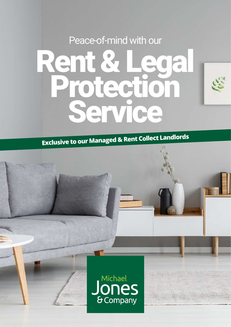Peace-of-mind with our

# Rent & Lega Protectio Service

**Exclusive to our Managed & Rent Collect Landlords**

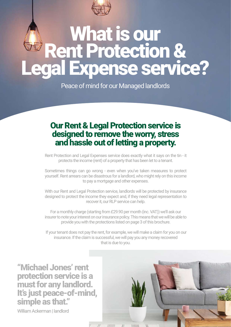

## What is our Rent Protection & Expense service?

Peace of mind for our Managed landlords

### Our Rent & Legal Protection service is designed to remove the worry, stress and hassle out of letting a property.

Rent Protection and Legal Expenses service does exactly what it says on the tin - it protects the income (rent) of a property that has been let to a tenant.

Sometimes things can go wrong - even when you've taken measures to protect yourself. Rent arrears can be disastrous for a landlord, who might rely on this income to pay a mortgage and other expenses.

With our Rent and Legal Protection service, landlords will be protected by insurance designed to protect the income they expect and, if they need legal representation to recover it, our RLP service can help.

For a monthly charge (starting from £29.90 per month (inc. VAT)) we'll ask our insurer to note your interest on our insurance policy. This means that we will be able to provide you with the protections listed on page 3 of this brochure.

 If your tenant does not pay the rent, for example, we will make a claim for you on our insurance. If the claim is successful, we will pay you any money recovered that is due to you.

"Michael Jones' rent protection service is a must for any landlord. It's just peace-of-mind, simple as that."

William Ackerman I landlord

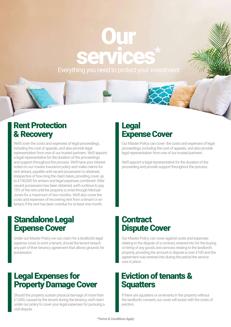## **Our** services\* Everything you need to protect your investment

### Rent Protection & Recovery

We'll cover the costs and expenses of legal proceedings, including the cost of appeals, and also provide legal representation from one of our trusted partners. We'll appoint a legal representative for the duration of the proceedings and support throughout the process. We'll have your interest noted on our master insurance policy and make claims for rent arrears, payable until vacant possession is obtained, irrespective of how long the claim takes, providing cover up to £100,000 for arrears and legal expenses combined. After vacant possession has been obtained, we'll continue to pay 75% of the rent until the property is re-let through Michael Jones for a maximum of two months. We'll also cover the costs and expenses of recovering rent from a tenant or extenant, if the rent has been overdue for at least one month.

## Standalone Legal Expense Cover

Under our Master Policy we can claim for a landlord's legal expense cover, to evict a tenant, should the tenant breach any part of their tenancy agreement that allows grounds for possession.

## Legal Expenses for Property Damage Cover

Should the property sustain physical damage of more than £1,000, caused by the tenant during the tenancy, we'll claim under our policy to cover your legal expenses for pursuing a civil dispute.

## Legal Expense Cover

Our Master Policy can cover the costs and expenses of legal proceedings, including the cost of appeals, and also provide legal representation from one of our trusted partners.

We'll appoint a legal representative for the duration of the proceeding and provide support throughout the process.

#### **Contract** Dispute Cover

Our Master Policy can cover against costs and expenses relating to the dispute of a contract, entered into for the buying or hiring of any goods and services relating to the landlord's property, providing the amount in dispute is over £100 and the agreement was entered into during the period the service was in place.

## Eviction of tenants & **Squatters**

If there are squatters or ex-tenants in the property without the landlord's consent, our cover will assist with the costs of eviction.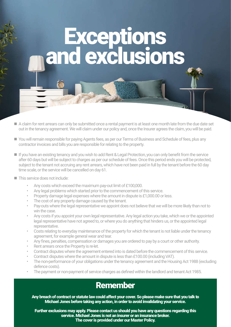# Exceptions and exclusions

- A claim for rent arrears can only be submitted once a rental payment is at least one month late from the due date set out in the tenancy agreement. We will claim under our policy and, once the Insurer agrees the claim, you will be paid.
- You will remain responsible for paying Agents fees, as per our Terms of Business and Schedule of fees, plus any contractor invoices and bills you are responsible for relating to the property.
- If you have an existing tenancy and you wish to add Rent & Legal Protection, you can only benefit from the service after 60 days but will be subject to charges as per our schedule of fees. Once this period ends you will be protected, subject to the tenant not accruing any rent arrears, which have not been paid in full by the tenant before the 60 day time scale, or the service will be cancelled on day 61.
- This service does not include:
	- Any costs which exceed the maximum pay-out limit of £100,000.
	- Any legal problems which started prior to the commencement of this service.
	- Property damage legal expenses where the amount in dispute is £1,000.00 or less.
	- The cost of any property damage caused by the tenant.
	- Pay-outs where the legal representative we appoint does not believe that we will be more likely than not to win the case.
	- Any costs if you appoint your own legal representative. Any legal action you take, which we or the appointed legal representative have not agreed to, or where you do anything that hinders us, or the appointed legal representative.
	- Costs relating to everyday maintenance of the property for which the tenant is not liable under the tenancy agreement, for example general wear and tear.
	- Any fines, penalties, compensation or damages you are ordered to pay by a court or other authority.
	- Rent arrears once the Property is re-let.
	- Contract disputes where the agreement entered into is dated before the commencement of this service.
	- Contract disputes where the amount in dispute is less than £100.00 (including VAT).
	- The non-performance of your obligations under the tenancy agreement and the Housing Act 1988 (excluding defence costs).
	- The payment or non-payment of service charges as defined within the landlord and tenant Act 1985.

### Remember

Any breach of contract or statute law could affect your cover. So please make sure that you talk to Michael Jones before taking any action, in order to avoid invalidating your service.

Further exclusions may apply. Please contact us should you have any questions regarding this service. Michael Jones is not an insurer or an insurance broker. The cover is provided under our Master Policy.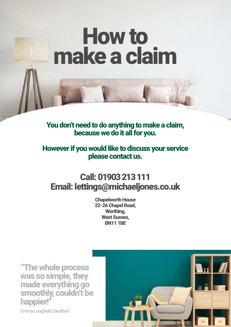# How to make a claim

#### You don't need to do anything to make a claim, because we do it all for you.

#### However if you would like to discuss your service please contact us.

## Call: 01903 213 111 Email: lettings@michaeljones.co.uk

Chapelworth House 22-26 Chapel Road, Worthing, West Sussex, BN11 1BE

"The whole process was so simple, they made everything go smoothly, couldn't be happier!"

Emma Longfield | landlord

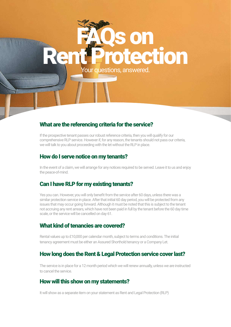# action Your questions, answered.

#### What are the referencing criteria for the service?

If the prospective tenant passes our robust reference criteria, then you will qualify for our comprehensive RLP service. However if, for any reason, the tenants should not pass our criteria, we will talk to you about proceeding with the let without the RLP in place.

#### How do I serve notice on my tenants?

In the event of a claim, we will arrange for any notices required to be served. Leave it to us and enjoy the peace-of-mind.

#### Can I have RLP for my existing tenants?

Yes you can. However, you will only benefit from the service after 60 days, unless there was a similar protection service in place. After that initial 60 day period, you will be protected from any issues that may occur going forward. Although it must be noted that this is subject to the tenant not accruing any rent arrears, which have not been paid in full by the tenant before the 60 day time scale, or the service will be cancelled on day 61.

#### What kind of tenancies are covered?

Rental values up to £10,000 per calendar month, subject to terms and conditions. The initial tenancy agreement must be either an Assured Shorthold tenancy or a Company Let.

#### How long does the Rent & Legal Protection service cover last?

The service is in place for a 12 month period which we will renew annually, unless we are instructed to cancel the service.

#### How will this show on my statements?

It will show as a separate item on your statement as Rent and Legal Protection (RLP)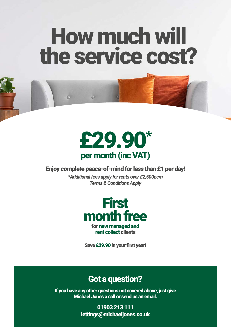# How much will the service cost?



 $\circ$ 

 $\circ$ 

#### Enjoy complete peace-of-mind for less than £1 per day!

*\*Additional fees apply for rents over £2,500pcm Terms & Conditions Apply*



Save £29.90 in your first year!

### Got a question?

If you have any other questions not covered above, just give Michael Jones a call or send us an email.

> 01903 213 111 lettings@michaeljones.co.uk